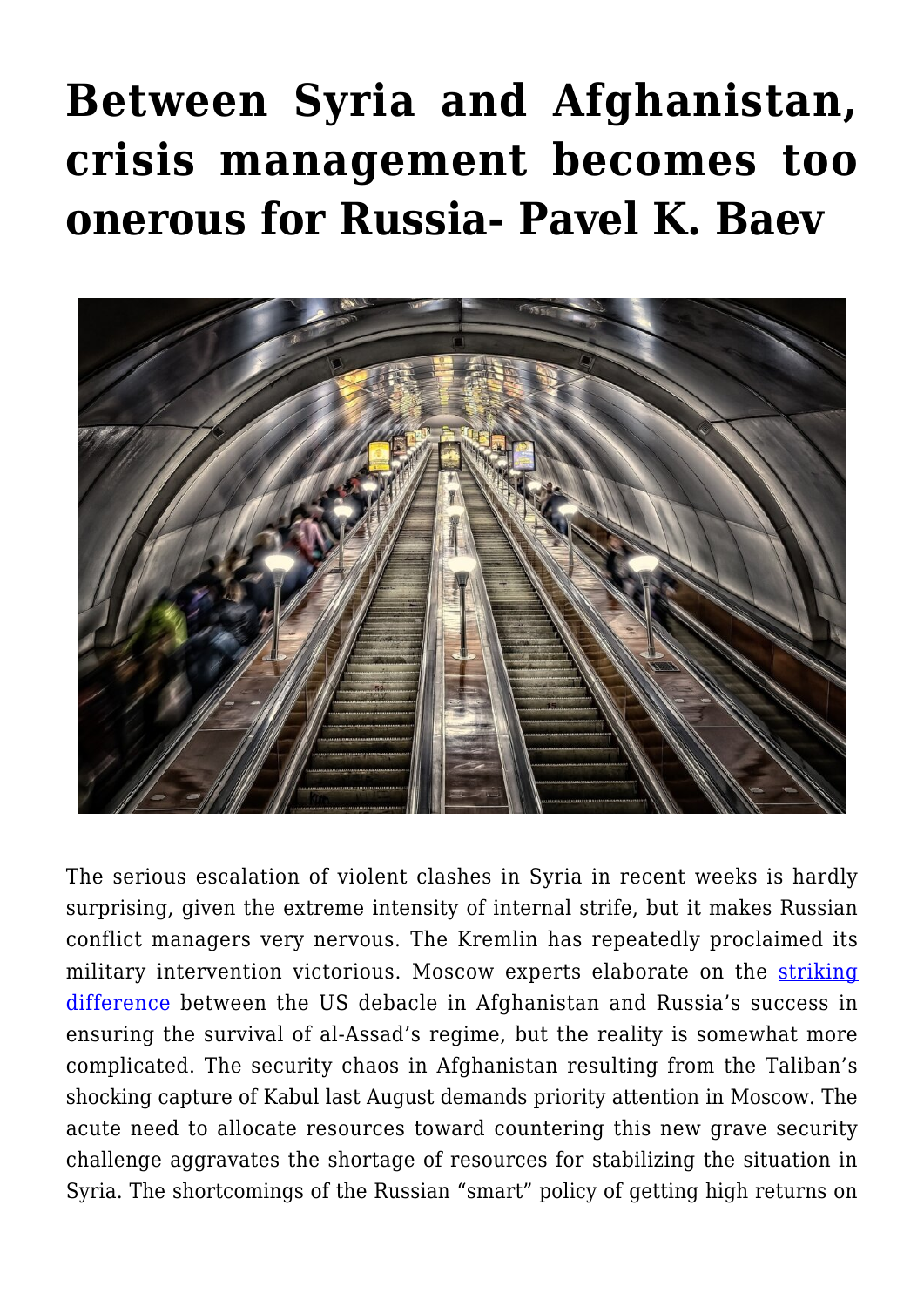## **[Between Syria and Afghanistan,](https://www.uikpanorama.com/blog/2021/11/03/between-syria-and-afghanistan-crisis-management-becomes-too-onerous-for-russia-pavel-k-baev/) [crisis management becomes too](https://www.uikpanorama.com/blog/2021/11/03/between-syria-and-afghanistan-crisis-management-becomes-too-onerous-for-russia-pavel-k-baev/) [onerous for Russia- Pavel K. Baev](https://www.uikpanorama.com/blog/2021/11/03/between-syria-and-afghanistan-crisis-management-becomes-too-onerous-for-russia-pavel-k-baev/)**



The serious escalation of violent clashes in Syria in recent weeks is hardly surprising, given the extreme intensity of internal strife, but it makes Russian conflict managers very nervous. The Kremlin has repeatedly proclaimed its military intervention victorious. Moscow experts elaborate on the [striking](https://russiancouncil.ru/en/analytics-and-comments/analytics/a-tale-of-two-interventions-why-russia-succeeded-in-syria-when-u-s-failed-in-afghanistan/) [difference](https://russiancouncil.ru/en/analytics-and-comments/analytics/a-tale-of-two-interventions-why-russia-succeeded-in-syria-when-u-s-failed-in-afghanistan/) between the US debacle in Afghanistan and Russia's success in ensuring the survival of al-Assad's regime, but the reality is somewhat more complicated. The security chaos in Afghanistan resulting from the Taliban's shocking capture of Kabul last August demands priority attention in Moscow. The acute need to allocate resources toward countering this new grave security challenge aggravates the shortage of resources for stabilizing the situation in Syria. The shortcomings of the Russian "smart" policy of getting high returns on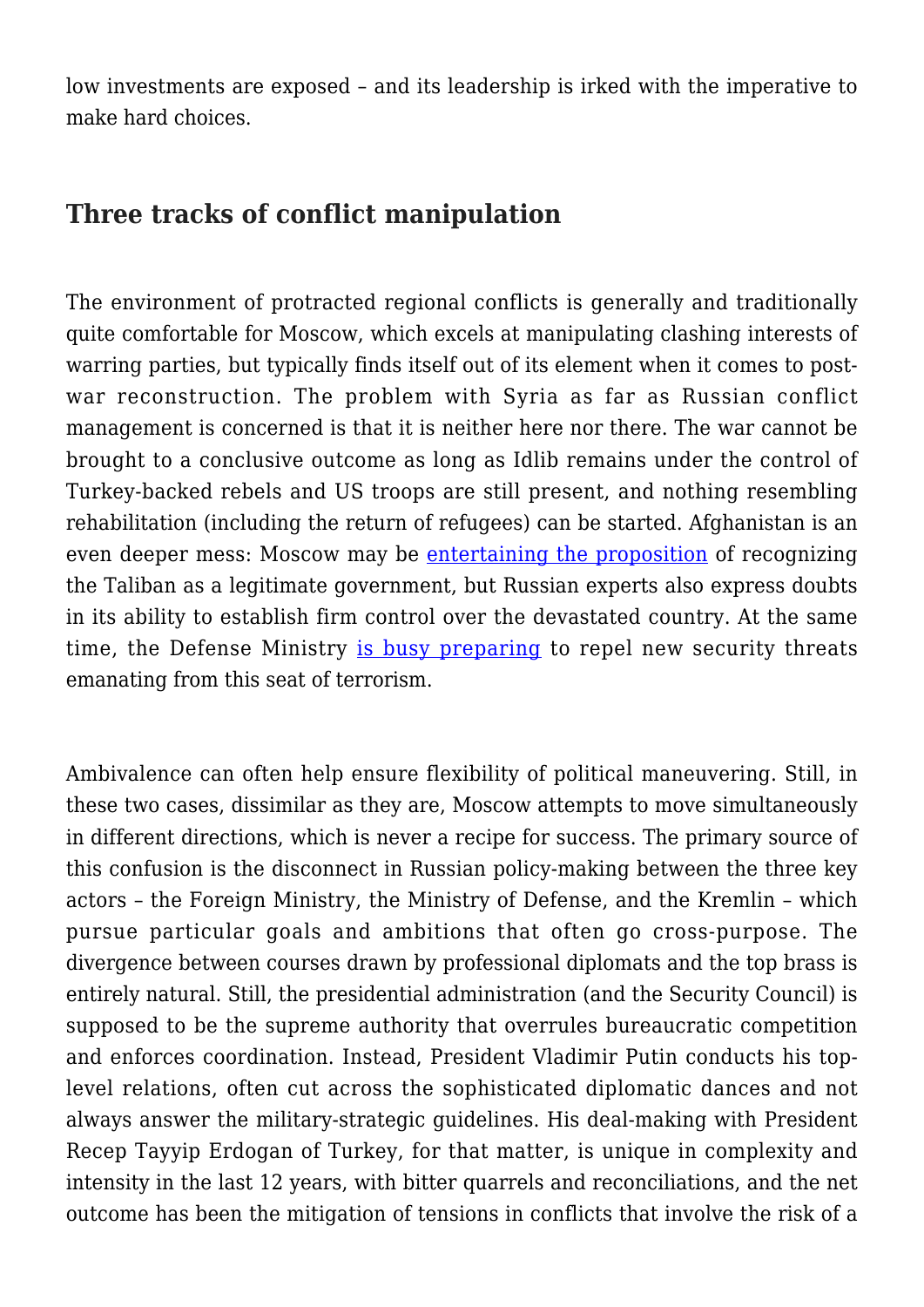low investments are exposed – and its leadership is irked with the imperative to make hard choices.

## **Three tracks of conflict manipulation**

The environment of protracted regional conflicts is generally and traditionally quite comfortable for Moscow, which excels at manipulating clashing interests of warring parties, but typically finds itself out of its element when it comes to postwar reconstruction. The problem with Syria as far as Russian conflict management is concerned is that it is neither here nor there. The war cannot be brought to a conclusive outcome as long as Idlib remains under the control of Turkey-backed rebels and US troops are still present, and nothing resembling rehabilitation (including the return of refugees) can be started. Afghanistan is an even deeper mess: Moscow may be [entertaining the proposition](https://tass.com/politics/1353705) of recognizing the Taliban as a legitimate government, but Russian experts also express doubts in its ability to establish firm control over the devastated country. At the same time, the Defense Ministry [is busy preparing](https://www.wsj.com/articles/russian-military-drills-near-afghan-border-deliver-warning-to-extremists-11635188626) to repel new security threats emanating from this seat of terrorism.

Ambivalence can often help ensure flexibility of political maneuvering. Still, in these two cases, dissimilar as they are, Moscow attempts to move simultaneously in different directions, which is never a recipe for success. The primary source of this confusion is the disconnect in Russian policy-making between the three key actors – the Foreign Ministry, the Ministry of Defense, and the Kremlin – which pursue particular goals and ambitions that often go cross-purpose. The divergence between courses drawn by professional diplomats and the top brass is entirely natural. Still, the presidential administration (and the Security Council) is supposed to be the supreme authority that overrules bureaucratic competition and enforces coordination. Instead, President Vladimir Putin conducts his toplevel relations, often cut across the sophisticated diplomatic dances and not always answer the military-strategic guidelines. His deal-making with President Recep Tayyip Erdogan of Turkey, for that matter, is unique in complexity and intensity in the last 12 years, with bitter quarrels and reconciliations, and the net outcome has been the mitigation of tensions in conflicts that involve the risk of a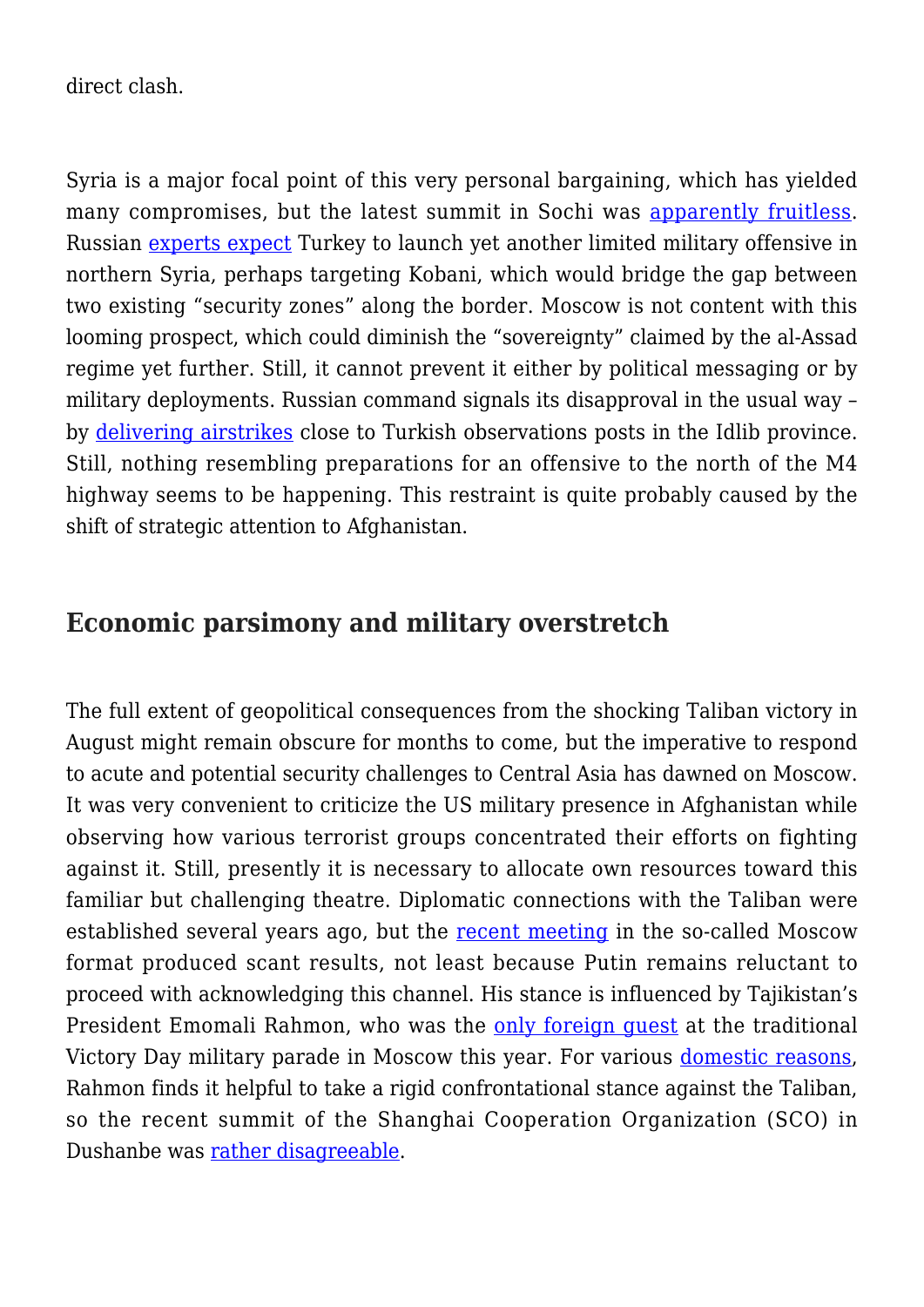direct clash.

Syria is a major focal point of this very personal bargaining, which has yielded many compromises, but the latest summit in Sochi was [apparently fruitless.](https://www.al-monitor.com/originals/2021/10/russia-hasnt-cleared-turkish-attack-strategic-syrian-town) Russian [experts expect](https://www.ng.ru/world/2021-10-14/1_8278_turkey.html) Turkey to launch yet another limited military offensive in northern Syria, perhaps targeting Kobani, which would bridge the gap between two existing "security zones" along the border. Moscow is not content with this looming prospect, which could diminish the "sovereignty" claimed by the al-Assad regime yet further. Still, it cannot prevent it either by political messaging or by military deployments. Russian command signals its disapproval in the usual way – by [delivering airstrikes](https://www.aa.com.tr/en/middle-east/russian-airstrike-targets-syrian-opposition-in-idlib-/2019447) close to Turkish observations posts in the Idlib province. Still, nothing resembling preparations for an offensive to the north of the M4 highway seems to be happening. This restraint is quite probably caused by the shift of strategic attention to Afghanistan.

## **Economic parsimony and military overstretch**

The full extent of geopolitical consequences from the shocking Taliban victory in August might remain obscure for months to come, but the imperative to respond to acute and potential security challenges to Central Asia has dawned on Moscow. It was very convenient to criticize the US military presence in Afghanistan while observing how various terrorist groups concentrated their efforts on fighting against it. Still, presently it is necessary to allocate own resources toward this familiar but challenging theatre. Diplomatic connections with the Taliban were established several years ago, but the [recent meeting](https://indianexpress.com/article/opinion/editorials/indian-delegation-taliban-afghanistan-moscow-7584012/) in the so-called Moscow format produced scant results, not least because Putin remains reluctant to proceed with acknowledging this channel. His stance is influenced by Tajikistan's President Emomali Rahmon, who was the [only foreign guest](https://central.asia-news.com/en_GB/articles/cnmi_ca/features/2021/05/13/feature-01) at the traditional Victory Day military parade in Moscow this year. For various [domestic reasons,](https://carnegiemoscow.org/commentary/85649) Rahmon finds it helpful to take a rigid confrontational stance against the Taliban, so the recent summit of the Shanghai Cooperation Organization (SCO) in Dushanbe was [rather disagreeable](https://www.atlanticcouncil.org/blogs/southasiasource/experts-react-2021-shanghai-cooperation-organisation-sco-summit-in-tajikistan/).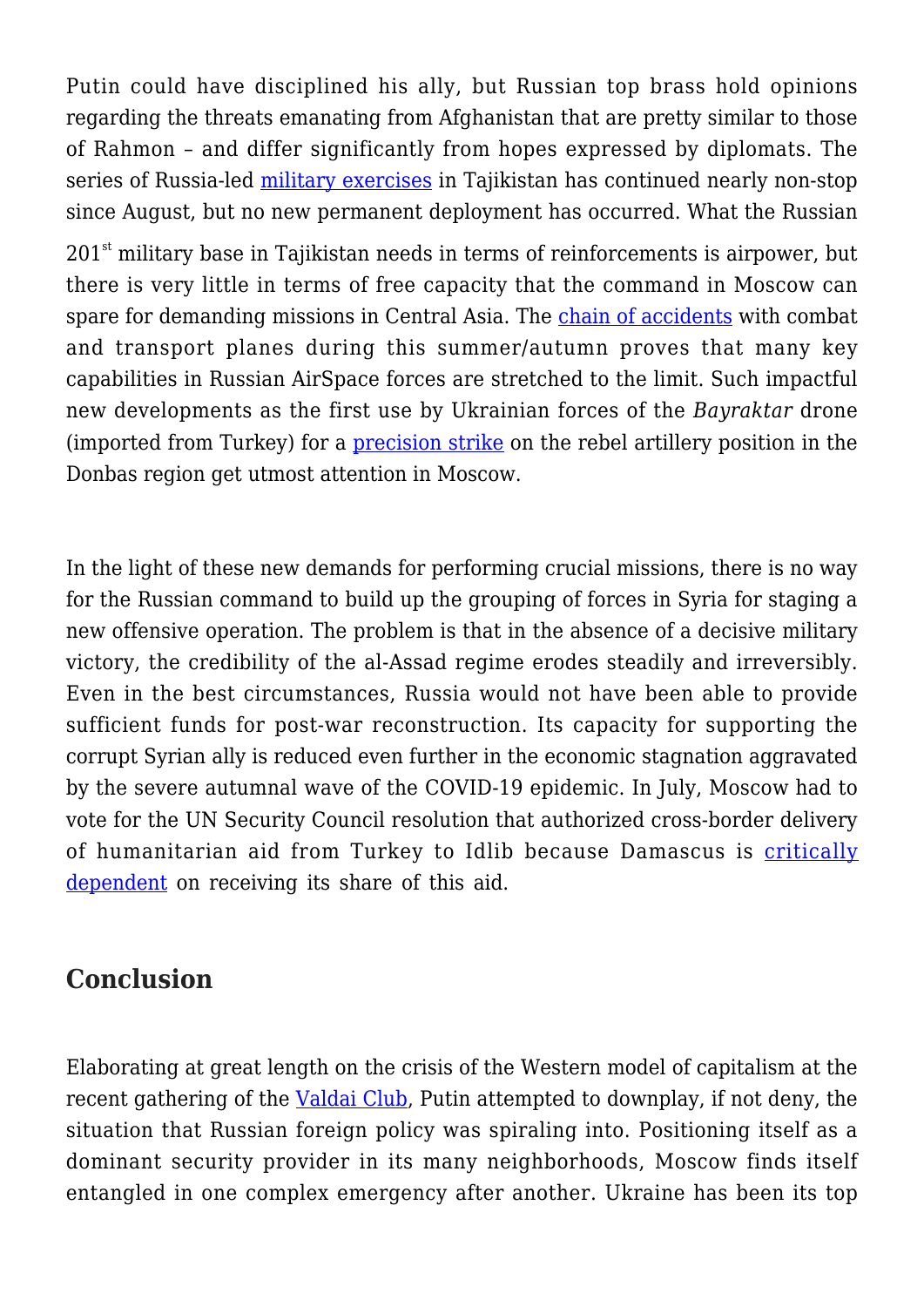Putin could have disciplined his ally, but Russian top brass hold opinions regarding the threats emanating from Afghanistan that are pretty similar to those of Rahmon – and differ significantly from hopes expressed by diplomats. The series of Russia-led [military exercises](https://www.rferl.org/a/russia-csto-afghan-tajik-border/31525710.html) in Tajikistan has continued nearly non-stop since August, but no new permanent deployment has occurred. What the Russian

 $201<sup>st</sup>$  military base in Tajikistan needs in terms of reinforcements is airpower, but there is very little in terms of free capacity that the command in Moscow can spare for demanding missions in Central Asia. The [chain of accidents](https://www.iiss.org/blogs/military-balance/2021/09/russian-flight-test-crash) with combat and transport planes during this summer/autumn proves that many key capabilities in Russian AirSpace forces are stretched to the limit. Such impactful new developments as the first use by Ukrainian forces of the *Bayraktar* drone (imported from Turkey) for a [precision strike](https://edam.org.tr/ukraines-drone-strike-in-donbass-can-spark-a-turkish-russian-escalation/) on the rebel artillery position in the Donbas region get utmost attention in Moscow.

In the light of these new demands for performing crucial missions, there is no way for the Russian command to build up the grouping of forces in Syria for staging a new offensive operation. The problem is that in the absence of a decisive military victory, the credibility of the al-Assad regime erodes steadily and irreversibly. Even in the best circumstances, Russia would not have been able to provide sufficient funds for post-war reconstruction. Its capacity for supporting the corrupt Syrian ally is reduced even further in the economic stagnation aggravated by the severe autumnal wave of the COVID-19 epidemic. In July, Moscow had to vote for the UN Security Council resolution that authorized cross-border delivery of humanitarian aid from Turkey to Idlib because Damascus is [critically](https://www.csis.org/analysis/how-assad-regime-systematically-diverts-tens-millions-aid) [dependent](https://www.csis.org/analysis/how-assad-regime-systematically-diverts-tens-millions-aid) on receiving its share of this aid.

## **Conclusion**

Elaborating at great length on the crisis of the Western model of capitalism at the recent gathering of the [Valdai Club,](https://jamestown.org/program/putins-valdai-platitudes-obscure-worsening-domestic-situation/) Putin attempted to downplay, if not deny, the situation that Russian foreign policy was spiraling into. Positioning itself as a dominant security provider in its many neighborhoods, Moscow finds itself entangled in one complex emergency after another. Ukraine has been its top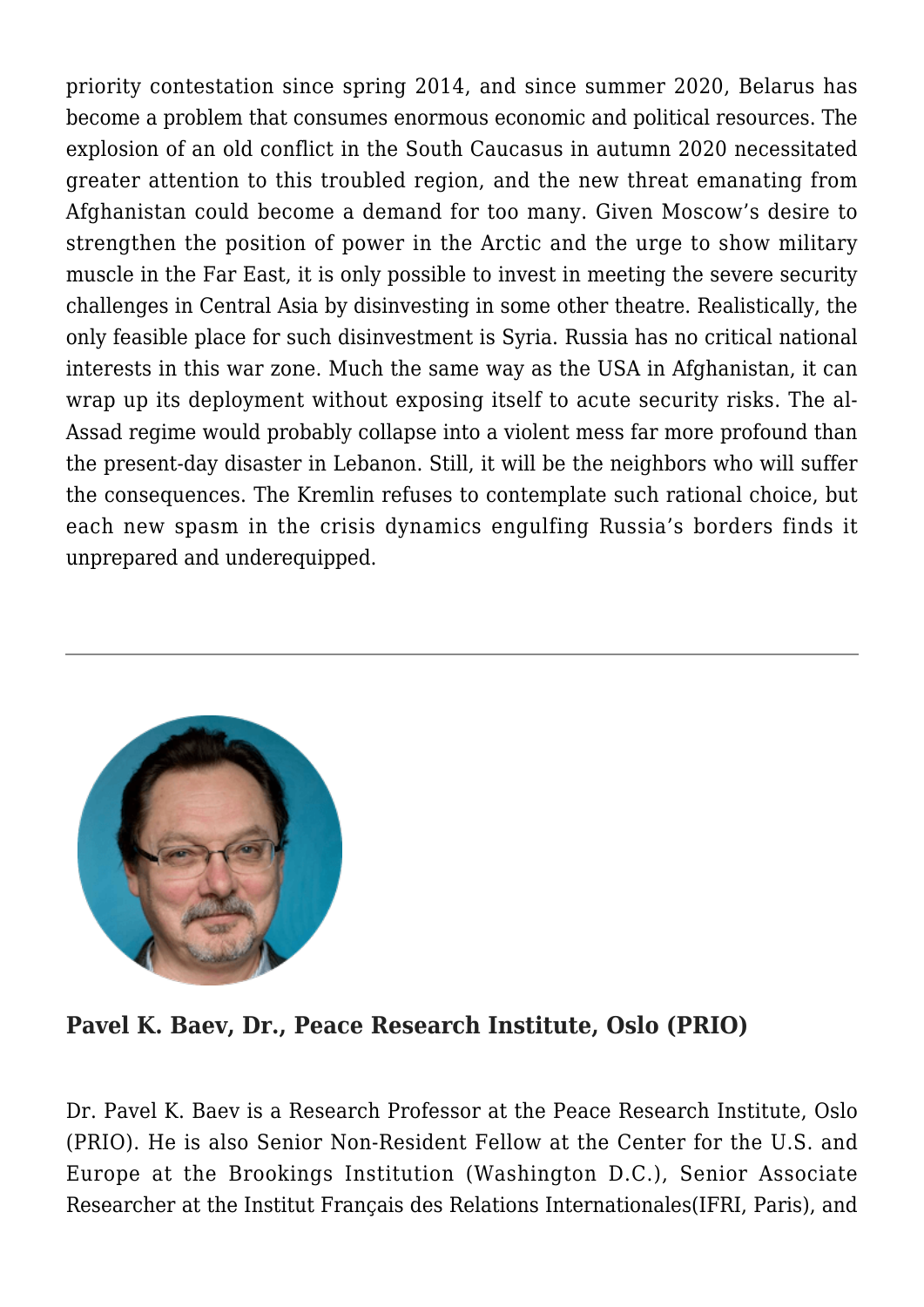priority contestation since spring 2014, and since summer 2020, Belarus has become a problem that consumes enormous economic and political resources. The explosion of an old conflict in the South Caucasus in autumn 2020 necessitated greater attention to this troubled region, and the new threat emanating from Afghanistan could become a demand for too many. Given Moscow's desire to strengthen the position of power in the Arctic and the urge to show military muscle in the Far East, it is only possible to invest in meeting the severe security challenges in Central Asia by disinvesting in some other theatre. Realistically, the only feasible place for such disinvestment is Syria. Russia has no critical national interests in this war zone. Much the same way as the USA in Afghanistan, it can wrap up its deployment without exposing itself to acute security risks. The al-Assad regime would probably collapse into a violent mess far more profound than the present-day disaster in Lebanon. Still, it will be the neighbors who will suffer the consequences. The Kremlin refuses to contemplate such rational choice, but each new spasm in the crisis dynamics engulfing Russia's borders finds it unprepared and underequipped.



**Pavel K. Baev, Dr., Peace Research Institute, Oslo (PRIO)**

Dr. Pavel K. Baev is a Research Professor at the Peace Research Institute, Oslo (PRIO). He is also Senior Non-Resident Fellow at the Center for the U.S. and Europe at the Brookings Institution (Washington D.C.), Senior Associate Researcher at the Institut Français des Relations Internationales(IFRI, Paris), and